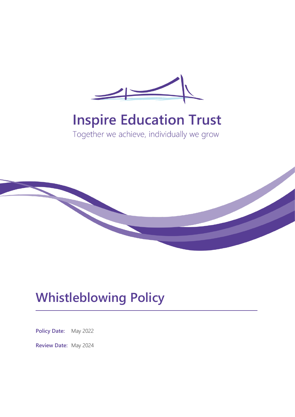

# **Inspire Education Trust**

Together we achieve, individually we grow



## **Whistleblowing Policy**

**Policy Date:** May 2022

**Review Date:** May 2024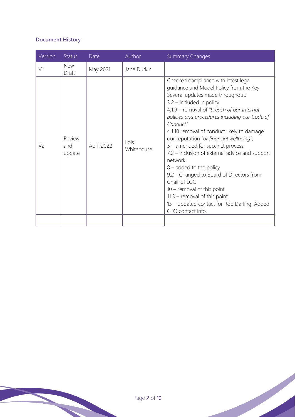## **Document History**

| Version        | <b>Status</b>           | Date       | Author             | <b>Summary Changes</b>                                                                                                                                                                                                                                                                                                                                                                                                                                                                                                                                                                                                                                                                 |
|----------------|-------------------------|------------|--------------------|----------------------------------------------------------------------------------------------------------------------------------------------------------------------------------------------------------------------------------------------------------------------------------------------------------------------------------------------------------------------------------------------------------------------------------------------------------------------------------------------------------------------------------------------------------------------------------------------------------------------------------------------------------------------------------------|
| V1             | <b>New</b><br>Draft     | May 2021   | Jane Durkin        |                                                                                                                                                                                                                                                                                                                                                                                                                                                                                                                                                                                                                                                                                        |
| V <sub>2</sub> | Review<br>and<br>update | April 2022 | Lois<br>Whitehouse | Checked compliance with latest legal<br>guidance and Model Policy from the Key.<br>Several updates made throughout:<br>$3.2$ – included in policy<br>4.1.9 - removal of "breach of our internal<br>policies and procedures including our Code of<br>Conduct"<br>4.1.10 removal of conduct likely to damage<br>our reputation "or financial wellbeing";<br>5 - amended for succinct process<br>7.2 – inclusion of external advice and support<br>network<br>$8 -$ added to the policy<br>9.2 - Changed to Board of Directors from<br>Chair of LGC<br>$10$ – removal of this point<br>$11.3$ – removal of this point<br>13 - updated contact for Rob Darling. Added<br>CEO contact info. |
|                |                         |            |                    |                                                                                                                                                                                                                                                                                                                                                                                                                                                                                                                                                                                                                                                                                        |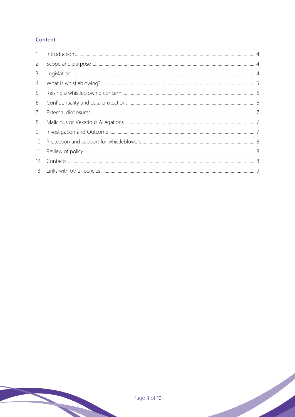### Content

| $\mathbf{1}$      |  |
|-------------------|--|
| $\overline{2}$    |  |
| 3                 |  |
| 4                 |  |
| 5                 |  |
| 6                 |  |
| 7                 |  |
| 8                 |  |
| 9                 |  |
| 10                |  |
| 11                |  |
| $12 \overline{ }$ |  |
| 13                |  |
|                   |  |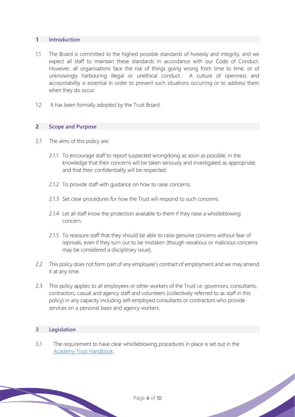#### **1 Introduction**

- 1.1 The Board is committed to the highest possible standards of honesty and integrity, and we expect all staff to maintain these standards in accordance with our Code of Conduct. However, all organisations face the risk of things going wrong from time to time, or of unknowingly harbouring illegal or unethical conduct. A culture of openness and accountability is essential in order to prevent such situations occurring or to address them when they do occur.
- 1.2 It has been formally adopted by the Trust Board.

#### **2 Scope and Purpose**

- 2.1 The aims of this policy are:
	- 2.1.1 To encourage staff to report suspected wrongdoing as soon as possible, in the knowledge that their concerns will be taken seriously and investigated as appropriate, and that their confidentiality will be respected.
	- 2.1.2 To provide staff with guidance on how to raise concerns.
	- 2.1.3 Set clear procedures for how the Trust will respond to such concerns.
	- 2.1.4 Let all staff know the protection available to them if they raise a whistleblowing concern.
	- 2.1.5 To reassure staff that they should be able to raise genuine concerns without fear of reprisals, even if they turn out to be mistaken (though vexatious or malicious concerns may be considered a disciplinary issue).
- 2.2 This policy does not form part of any employee's contract of employment and we may amend it at any time.
- 2.3 This policy applies to all employees or other workers of the Trust i.e. governors, consultants, contractors, casual and agency staff and volunteers (collectively referred to as staff in this policy) in any capacity including self-employed consultants or contractors who provide services on a personal basis and agency workers.

#### **3 Legislation**

3.1 The requirement to have clear whistleblowing procedures in place is set out in the [Academy Trust Handbook.](https://www.gov.uk/guidance/academies-financial-handbook/academy-trust-handbook-2021)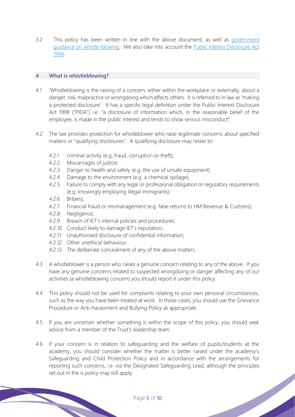3.2 This policy has been written in line with the above document, as well as government [guidance on whistle-blowing.](https://www.gov.uk/whistleblowing) We also take into account the [Public Interest Disclosure Act](https://www.legislation.gov.uk/ukpga/1998/23/contents)  [1998.](https://www.legislation.gov.uk/ukpga/1998/23/contents)

#### <span id="page-4-0"></span>**4 What is whistleblowing?**

- 4.1 'Whistleblowing is the raising of a concern, either within the workplace or externally, about a danger, risk, malpractice or wrongdoing which affects others. It is referred to in law as 'making a protected disclosure'. It has a specific legal definition under the Public Interest Disclosure Act 1998 ("PIDA") i.e. "a disclosure of information which, in the reasonable belief of the employee, is made in the public interest and tends to show serious misconduct".
- 4.2 The law provides protection for whistleblower who raise legitimate concerns about specified matters or "qualifying disclosures". A qualifying disclosure may relate to:
	- 4.2.1 criminal activity (e.g. fraud, corruption or theft);
	- 4.2.2 Miscarriages of justice;
	- 4.2.3 Danger to health and safety (e.g. the use of unsafe equipment)
	- 4.2.4 Damage to the environment (e.g. a chemical spillage);
	- 4.2.5 Failure to comply with any legal or professional obligation or regulatory requirements (e.g. knowingly employing illegal immigrants);
	- 4.2.6 Bribery;
	- 4.2.7 Financial fraud or mismanagement (e.g. false returns to HM Revenue & Customs);
	- 4.2.8 Negligence;
	- 4.2.9 Breach of IET's internal policies and procedures;
	- 4.2.10 Conduct likely to damage IET's reputation;
	- 4.2.11 Unauthorised disclosure of confidential information;
	- 4.2.12 Other unethical behaviour;
	- 4.2.13 The deliberate concealment of any of the above matters.
- 4.3 A whistleblower is a person who raises a genuine concern relating to any of the above. If you have any genuine concerns related to suspected wrongdoing or danger affecting any of our activities (a whistleblowing concern) you should report it under this policy.
- 4.4 This policy should not be used for complaints relating to your own personal circumstances, such as the way you have been treated at work. In those cases, you should use the Grievance Procedure or Anti-harassment and Bullying Policy as appropriate.
- 4.5 If you are uncertain whether something is within the scope of this policy, you should seek advice from a member of the Trust's leadership team.
- <span id="page-4-1"></span>4.6 If your concern is in relation to safeguarding and the welfare of pupils/students at the academy, you should consider whether the matter is better raised under the academy's Safeguarding and Child Protection Policy and in accordance with the arrangements for reporting such concerns, i.e. via the Designated Safeguarding Lead, although the principles set out in the is policy may still apply.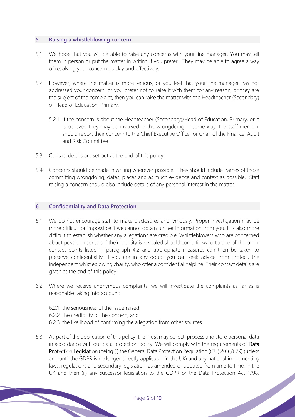#### **5 Raising a whistleblowing concern**

- 5.1 We hope that you will be able to raise any concerns with your line manager. You may tell them in person or put the matter in writing if you prefer. They may be able to agree a way of resolving your concern quickly and effectively.
- 5.2 However, where the matter is more serious, or you feel that your line manager has not addressed your concern, or you prefer not to raise it with them for any reason, or they are the subject of the complaint, then you can raise the matter with the Headteacher (Secondary) or Head of Education, Primary.
	- 5.2.1 If the concern is about the Headteacher (Secondary)/Head of Education, Primary, or it is believed they may be involved in the wrongdoing in some way, the staff member should report their concern to the Chief Executive Officer or Chair of the Finance, Audit and Risk Committee
- 5.3 Contact details are set out at the end of this policy.
- 5.4 Concerns should be made in writing wherever possible. They should include names of those committing wrongdoing, dates, places and as much evidence and context as possible. Staff raising a concern should also include details of any personal interest in the matter.

#### **6 Confidentiality and Data Protection**

- 6.1 We do not encourage staff to make disclosures anonymously. Proper investigation may be more difficult or impossible if we cannot obtain further information from you. It is also more difficult to establish whether any allegations are credible. Whistleblowers who are concerned about possible reprisals if their identity is revealed should come forward to one of the other contact points listed in paragraph 4.2 and appropriate measures can then be taken to preserve confidentiality. If you are in any doubt you can seek advice from Protect, the independent whistleblowing charity, who offer a confidential helpline. Their contact details are given at the end of this policy.
- 6.2 Where we receive anonymous complaints, we will investigate the complaints as far as is reasonable taking into account:
	- 6.2.1 the seriousness of the issue raised
	- 6.2.2 the credibility of the concern; and
	- 6.2.3 the likelihood of confirming the allegation from other sources
- 6.3 As part of the application of this policy, the Trust may collect, process and store personal data in accordance with our data protection policy. We will comply with the requirements of Data Protection Legislation (being (i) the General Data Protection Regulation ((EU) 2016/679) (unless and until the GDPR is no longer directly applicable in the UK) and any national implementing laws, regulations and secondary legislation, as amended or updated from time to time, in the UK and then (ii) any successor legislation to the GDPR or the Data Protection Act 1998,<br>Page 6 of 10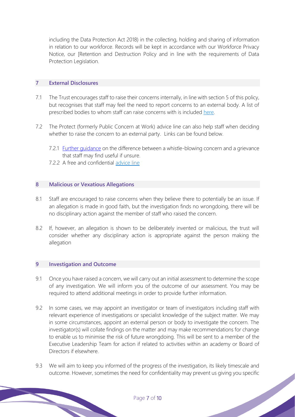including the Data Protection Act 2018) in the collecting, holding and sharing of information in relation to our workforce. Records will be kept in accordance with our Workforce Privacy Notice, our [Retention and Destruction Policy and in line with the requirements of Data Protection Legislation.

#### **7 External Disclosures**

- 7.1 The Trust encourages staff to raise their concerns internally, in line with section 5 of this policy, but recognises that staff may feel the need to report concerns to an external body. A list of prescribed bodies to whom staff can raise concerns with is included [here.](https://www.gov.uk/government/publications/blowing-the-whistle-list-of-prescribed-people-and-bodies--2/whistleblowing-list-of-prescribed-people-and-bodies#education)
- 7.2 The Protect (formerly Public Concern at Work) advice line can also help staff when deciding whether to raise the concern to an external party. Links can be found below.
	- 7.2.1 Further quidance on the difference between a whistle-blowing concern and a grievance that staff may find useful if unsure.
	- 7.2.2 A free and confidential [advice line](https://protect-advice.org.uk/contact-protect-advice-line/)

#### **8 Malicious or Vexatious Allegations**

- 8.1 Staff are encouraged to raise concerns when they believe there to potentially be an issue. If an allegation is made in good faith, but the investigation finds no wrongdoing, there will be no disciplinary action against the member of staff who raised the concern.
- 8.2 If, however, an allegation is shown to be deliberately invented or malicious, the trust will consider whether any disciplinary action is appropriate against the person making the allegation

#### **9 Investigation and Outcome**

- 9.1 Once you have raised a concern, we will carry out an initial assessment to determine the scope of any investigation. We will inform you of the outcome of our assessment. You may be required to attend additional meetings in order to provide further information.
- 9.2 In some cases, we may appoint an investigator or team of investigators including staff with relevant experience of investigations or specialist knowledge of the subject matter. We may in some circumstances, appoint an external person or body to investigate the concern. The investigator(s) will collate findings on the matter and may make recommendations for change to enable us to minimise the risk of future wrongdoing. This will be sent to a member of the Executive Leadership Team for action if related to activities within an academy or Board of Directors if elsewhere.
- 9.3 We will aim to keep you informed of the progress of the investigation, its likely timescale and outcome. However, sometimes the need for confidentiality may prevent us giving you specific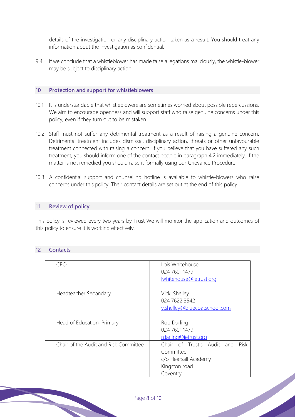details of the investigation or any disciplinary action taken as a result. You should treat any information about the investigation as confidential.

9.4 If we conclude that a whistleblower has made false allegations maliciously, the whistle-blower may be subject to disciplinary action.

#### <span id="page-7-0"></span>**10 Protection and support for whistleblowers**

- 10.1 It is understandable that whistleblowers are sometimes worried about possible repercussions. We aim to encourage openness and will support staff who raise genuine concerns under this policy, even if they turn out to be mistaken.
- 10.2 Staff must not suffer any detrimental treatment as a result of raising a genuine concern. Detrimental treatment includes dismissal, disciplinary action, threats or other unfavourable treatment connected with raising a concern. If you believe that you have suffered any such treatment, you should inform one of the contact people in paragraph 4.2 immediately. If the matter is not remedied you should raise it formally using our Grievance Procedure.
- 10.3 A confidential support and counselling hotline is available to whistle-blowers who raise concerns under this policy. Their contact details are set out at the end of this policy.

#### <span id="page-7-1"></span>**11 Review of policy**

This policy is reviewed every two years by Trust We will monitor the application and outcomes of this policy to ensure it is working effectively.

#### <span id="page-7-2"></span>**12 Contacts**

| ceo                                   | Lois Whitehouse<br>024 7601 1479<br>lwhitehouse@ietrust.org                                          |
|---------------------------------------|------------------------------------------------------------------------------------------------------|
| Headteacher Secondary                 | Vicki Shelley<br>024 7622 3542<br>v.shelley@bluecoatschool.com                                       |
| Head of Education, Primary            | Rob Darling<br>024 7601 1479<br>rdarling@ietrust.org                                                 |
| Chair of the Audit and Risk Committee | Chair of Trust's Audit and<br>Risk<br>Committee<br>c/o Hearsall Academy<br>Kingston road<br>Coventry |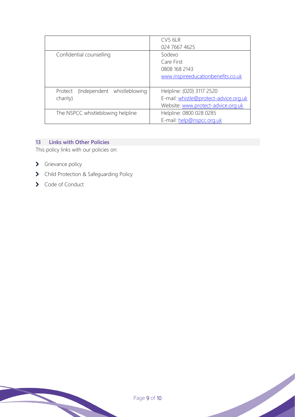|                                                    | CV5 6LR<br>024 7667 4625                                                                                 |
|----------------------------------------------------|----------------------------------------------------------------------------------------------------------|
| Confidential counselling                           | Sodexo<br>Care First<br>0808 168 2143<br>www.inspireeducationbenefits.co.uk                              |
| (Independent whistleblowing<br>Protect<br>charity) | Helpline: (020) 3117 2520<br>E-mail: whistle@protect-advice.org.uk<br>Website: www.protect-advice.org.uk |
| The NSPCC whistleblowing helpline                  | Helpline: 0800 028 0285<br>E-mail: help@nspcc.org.uk                                                     |

## **13 Links with Other Policies**

This policy links with our policies on:

- > Grievance policy
- > Child Protection & Safeguarding Policy
- > Code of Conduct